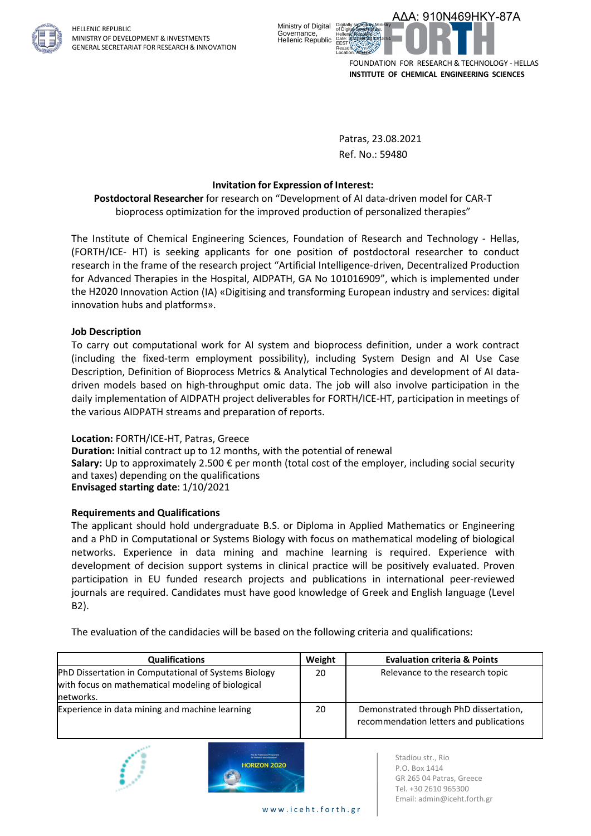

HELLENIC REPUBLIC MINISTRY OF DEVELOPMENT & INVESTMENTS GENERAL SECRETARIAT FOR RESEARCH & INNOVATION



Patras, 23.08.2021 Ref. No.: 59480

### **Invitation for Expression of Interest:**

**Postdoctoral Researcher** for research on "Development of AI data-driven model for CAR-T bioprocess optimization for the improved production of personalized therapies"

The Institute of Chemical Engineering Sciences, Foundation of Research and Technology - Hellas, (FORTH/ICE- HT) is seeking applicants for one position of postdoctoral researcher to conduct research in the frame of the research project "Artificial Intelligence-driven, Decentralized Production for Advanced Therapies in the Hospital, AIDPATH, GA No 101016909", which is implemented under the H2020 Innovation Action (ΙΑ) «Digitising and transforming European industry and services: digital innovation hubs and platforms».

### **Job Description**

To carry out computational work for AI system and bioprocess definition, under a work contract (including the fixed-term employment possibility), including System Design and AI Use Case Description, Definition of Bioprocess Metrics & Analytical Technologies and development of AI datadriven models based on high-throughput omic data. The job will also involve participation in the daily implementation of AIDPATH project deliverables for FORTH/ICE-HT, participation in meetings of the various AIDPATH streams and preparation of reports.

#### **Location:** FORTH/ICE-HT, Patras, Greece

**Duration:** Initial contract up to 12 months, with the potential of renewal

**Salary:** Up to approximately 2.500 € per month (total cost of the employer, including social security and taxes) depending on the qualifications **Envisaged starting date**: 1/10/2021

## **Requirements and Qualifications**

The applicant should hold undergraduate B.S. or Diploma in Applied Mathematics or Engineering and a PhD in Computational or Systems Biology with focus on mathematical modeling of biological networks. Experience in data mining and machine learning is required. Experience with development of decision support systems in clinical practice will be positively evaluated. Proven participation in EU funded research projects and publications in international peer-reviewed journals are required. Candidates must have good knowledge of Greek and English language (Level B2).

The evaluation of the candidacies will be based on the following criteria and qualifications:

| <b>Qualifications</b>                                                                                                  | Weight | <b>Evaluation criteria &amp; Points</b>                                           |
|------------------------------------------------------------------------------------------------------------------------|--------|-----------------------------------------------------------------------------------|
| PhD Dissertation in Computational of Systems Biology<br>with focus on mathematical modeling of biological<br>networks. | 20     | Relevance to the research topic                                                   |
| Experience in data mining and machine learning                                                                         | 20     | Demonstrated through PhD dissertation,<br>recommendation letters and publications |



Stadiou str., Rio P.O. Box 1414 GR 265 04 Patras, Greece Tel. +30 2610 965300 Email: admin@iceht.forth.gr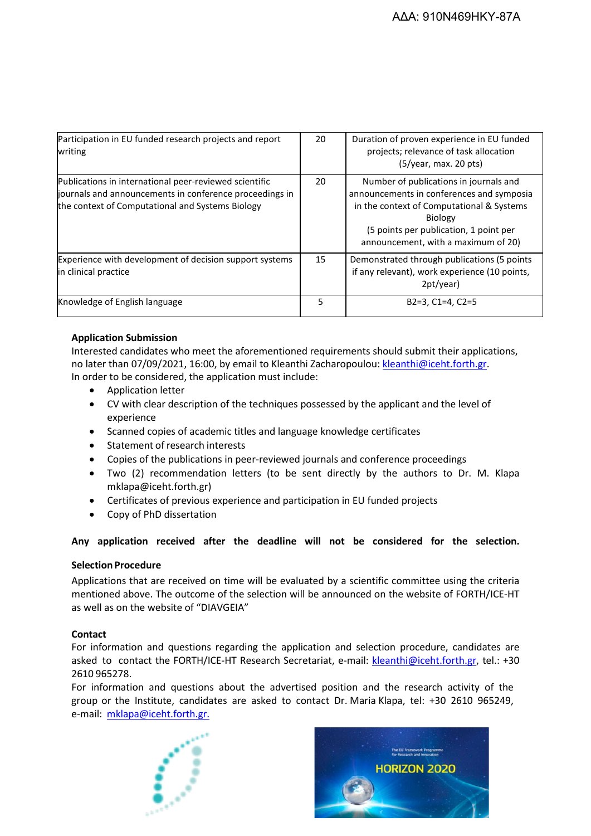| Participation in EU funded research projects and report<br>writing                                                                                                    | 20 | Duration of proven experience in EU funded<br>projects; relevance of task allocation<br>$(5/\gamma ear, max. 20 pts)$                                                                                                               |
|-----------------------------------------------------------------------------------------------------------------------------------------------------------------------|----|-------------------------------------------------------------------------------------------------------------------------------------------------------------------------------------------------------------------------------------|
| Publications in international peer-reviewed scientific<br>journals and announcements in conference proceedings in<br>the context of Computational and Systems Biology | 20 | Number of publications in journals and<br>announcements in conferences and symposia<br>in the context of Computational & Systems<br><b>Biology</b><br>(5 points per publication, 1 point per<br>announcement, with a maximum of 20) |
| Experience with development of decision support systems<br>in clinical practice                                                                                       | 15 | Demonstrated through publications (5 points<br>if any relevant), work experience (10 points,<br>2pt/year)                                                                                                                           |
| Knowledge of English language                                                                                                                                         | 5  | $B2=3$ , $C1=4$ , $C2=5$                                                                                                                                                                                                            |

# **Application Submission**

Interested candidates who meet the aforementioned requirements should submit their applications, no later than 07/09/2021, 16:00, by email to Kleanthi Zacharopoulou: [kleanthi@iceht.forth.gr.](mailto:kleanthi@iceht.forth.gr) In order to be considered, the application must include:

- Application letter
- CV with clear description of the techniques possessed by the applicant and the level of experience
- Scanned copies of academic titles and language knowledge certificates
- Statement of research interests
- Copies of the publications in peer-reviewed journals and conference proceedings
- Two (2) recommendation letters (to be sent directly by the authors to Dr. M. Klapa mklapa@iceht.forth.gr)
- Certificates of previous experience and participation in EU funded projects
- Copy of PhD dissertation

## **Any application received after the deadline will not be considered for the selection.**

## **Selection Procedure**

Applications that are received on time will be evaluated by a scientific committee using the criteria mentioned above. The outcome of the selection will be announced on the website of FORTH/ICE-HT as well as on the website of "DIAVGEIA"

## **Contact**

For information and questions regarding the application and selection procedure, candidates are asked to contact the FORTH/ICE-HT Research Secretariat, e-mail: [kleanthi@iceht.forth.gr,](mailto:kleanthi@iceht.forth.gr) tel.: +30 2610 965278.

For information and questions about the advertised position and the research activity of the group or the Institute, candidates are asked to contact Dr. Maria Klapa, tel: +30 2610 965249, e-mail: [mklapa@iceht.forth.gr.](mailto:mklapa@iceht.forth.gr.)